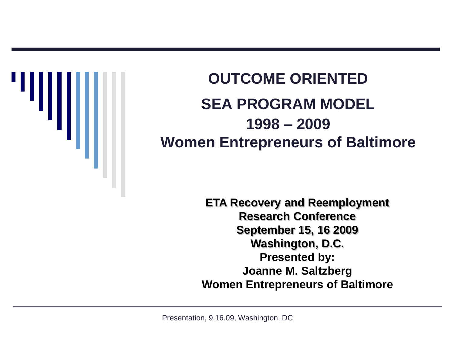

### **SEA PROGRAM MODEL OUTCOME ORIENTED 1998 – 2009 Women Entrepreneurs of Baltimore**

**ETA Recovery and Reemployment Research Conference September 15, 16 2009 Washington, D.C. Presented by: Joanne M. Saltzberg Women Entrepreneurs of Baltimore**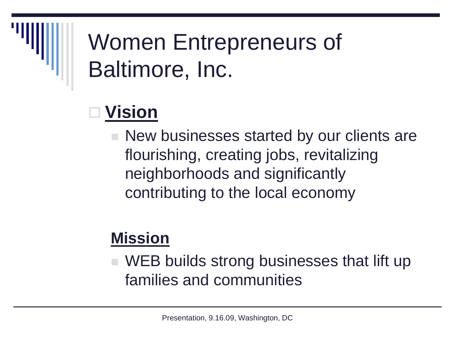### Women Entrepreneurs of Baltimore, Inc.

### **Vision**

■ New businesses started by our clients are flourishing, creating jobs, revitalizing neighborhoods and significantly contributing to the local economy

#### **Mission**

■ WEB builds strong businesses that lift up families and communities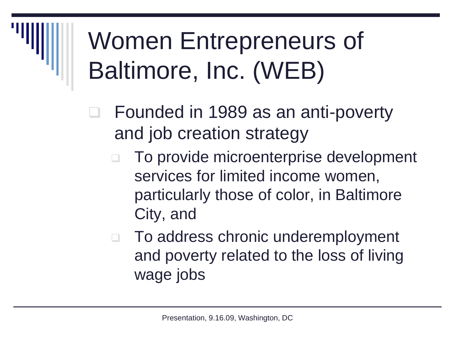# Women Entrepreneurs of Baltimore, Inc. (WEB)

- □ Founded in 1989 as an anti-poverty and job creation strategy
	- To provide microenterprise development services for limited income women, particularly those of color, in Baltimore City, and
	- To address chronic underemployment and poverty related to the loss of living wage jobs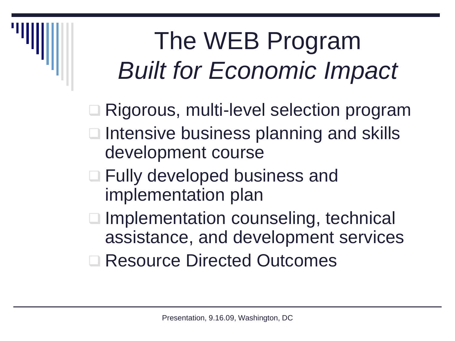# The WEB Program *Built for Economic Impact*

□ Rigorous, multi-level selection program

- □ Intensive business planning and skills development course
- □ Fully developed business and implementation plan
- □ Implementation counseling, technical assistance, and development services
- **□ Resource Directed Outcomes**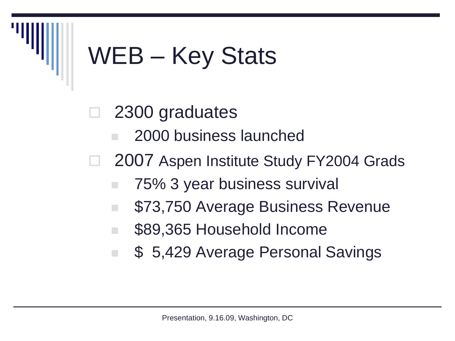### WEB – Key Stats

- 2300 graduates
	- 2000 business launched
- □ 2007 Aspen Institute Study FY2004 Grads
	- 75% 3 year business survival
	- **573,750 Average Business Revenue**
	- \$89,365 Household Income
	- **5.429 Average Personal Savings**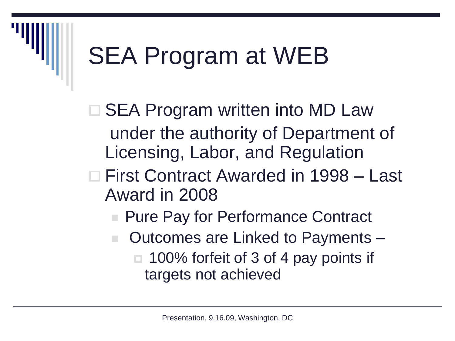□ SEA Program written into MD Law under the authority of Department of Licensing, Labor, and Regulation

#### First Contract Awarded in 1998 – Last Award in 2008

- Pure Pay for Performance Contract
- Outcomes are Linked to Payments  $\Box$  100% forfeit of 3 of 4 pay points if targets not achieved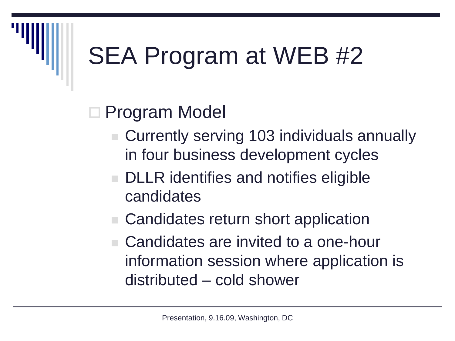### □ Program Model

- Currently serving 103 individuals annually in four business development cycles
- **DLLR** identifies and notifies eligible candidates
- Candidates return short application
- Candidates are invited to a one-hour information session where application is distributed – cold shower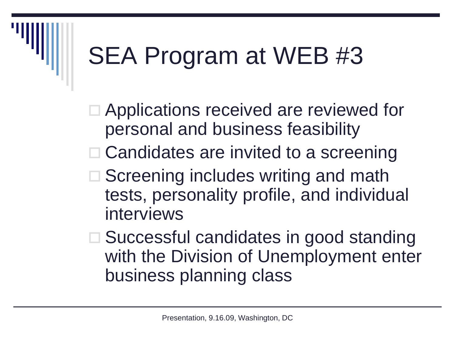- □ Applications received are reviewed for personal and business feasibility
- □ Candidates are invited to a screening
- tests, personality profile, and individual  $\square$  Screening includes writing and math interviews
- □ Successful candidates in good standing with the Division of Unemployment enter business planning class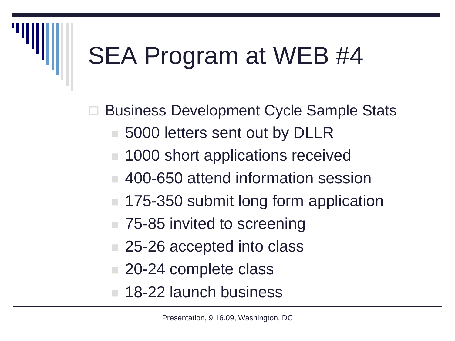Business Development Cycle Sample Stats

- 5000 letters sent out by DLLR
- 1000 short applications received
- 400-650 attend information session
- 175-350 submit long form application
- 75-85 invited to screening
- 25-26 accepted into class
- 20-24 complete class
- **18-22 launch business**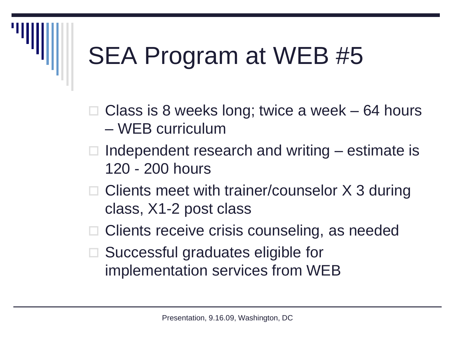Class is 8 weeks long; twice a week – 64 hours – WEB curriculum

- 120 200 hours  $\Box$  Independent research and writing – estimate is
- $\Box$  Clients meet with trainer/counselor X 3 during class, X1-2 post class
- □ Clients receive crisis counseling, as needed
- Successful graduates eligible for implementation services from WEB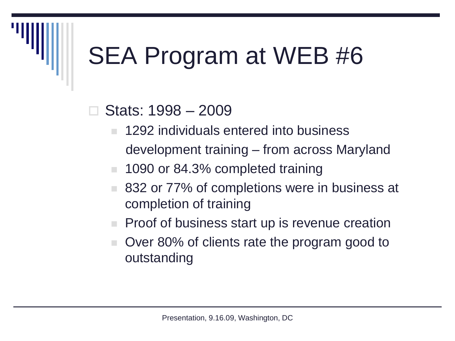#### Stats: 1998 – 2009

- **1292 individuals entered into business** development training – from across Maryland
- **1090 or 84.3% completed training**
- 832 or 77% of completions were in business at completion of training
- $\blacksquare$  Proof of business start up is revenue creation
- Over 80% of clients rate the program good to outstanding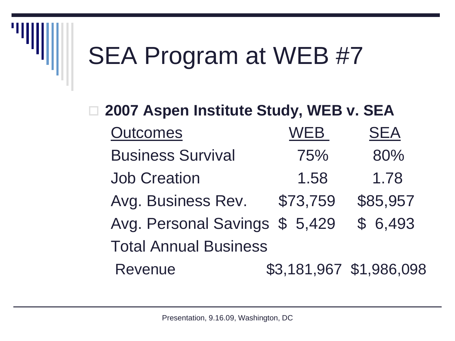### □ 2007 Aspen Institute Study, WEB v. SEA Outcomes WEB SEA Avg. Business Rev. \$73,759 \$85,957 Avg. Personal Savings \$ 5,429 \$ 6,493 Business Survival 75% 80% Job Creation 1.58 1.78 Total Annual Business Revenue \$3,181,967 \$1,986,098